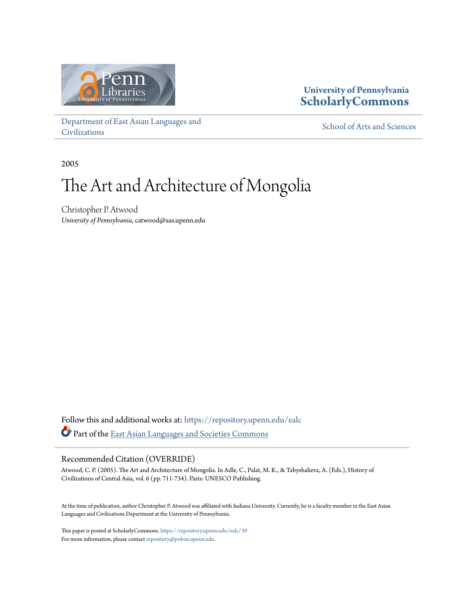

#### **University of Pennsylvania [ScholarlyCommons](https://repository.upenn.edu/?utm_source=repository.upenn.edu%2Fealc%2F39&utm_medium=PDF&utm_campaign=PDFCoverPages)**

[Department of East Asian Languages and](https://repository.upenn.edu/ealc?utm_source=repository.upenn.edu%2Fealc%2F39&utm_medium=PDF&utm_campaign=PDFCoverPages) [Civilizations](https://repository.upenn.edu/ealc?utm_source=repository.upenn.edu%2Fealc%2F39&utm_medium=PDF&utm_campaign=PDFCoverPages)

[School of Arts and Sciences](https://repository.upenn.edu/sas?utm_source=repository.upenn.edu%2Fealc%2F39&utm_medium=PDF&utm_campaign=PDFCoverPages)

2005

# The Art and Architecture of Mongolia

Christopher P. Atwood *University of Pennsylvania*, catwood@sas.upenn.edu

Follow this and additional works at: [https://repository.upenn.edu/ealc](https://repository.upenn.edu/ealc?utm_source=repository.upenn.edu%2Fealc%2F39&utm_medium=PDF&utm_campaign=PDFCoverPages) Part of the [East Asian Languages and Societies Commons](http://network.bepress.com/hgg/discipline/481?utm_source=repository.upenn.edu%2Fealc%2F39&utm_medium=PDF&utm_campaign=PDFCoverPages)

#### Recommended Citation (OVERRIDE)

Atwood, C. P. (2005). The Art and Architecture of Mongolia. In Adle, C., Palat, M. K., & Tabyshalieva, A. (Eds.), History of Civilizations of Central Asia, vol. 6 (pp. 711-734). Paris: UNESCO Publishing.

At the time of publication, author Christopher P. Atwood was affiliated with Indiana University. Currently, he is a faculty member in the East Asian Languages and Civilizations Department at the University of Pennsylvania.

This paper is posted at ScholarlyCommons. <https://repository.upenn.edu/ealc/39> For more information, please contact [repository@pobox.upenn.edu.](mailto:repository@pobox.upenn.edu)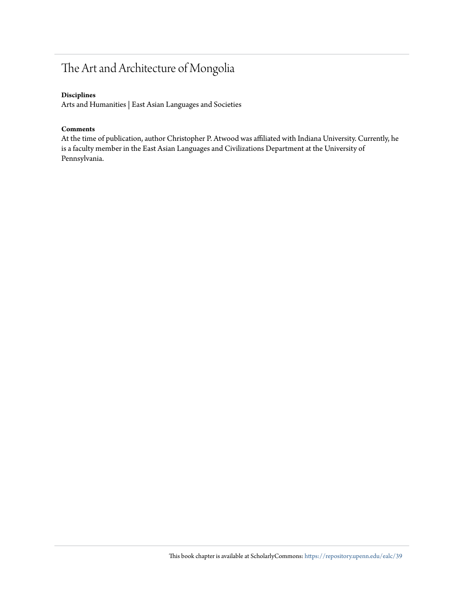## The Art and Architecture of Mongolia

#### **Disciplines**

Arts and Humanities | East Asian Languages and Societies

#### **Comments**

At the time of publication, author Christopher P. Atwood was affiliated with Indiana University. Currently, he is a faculty member in the East Asian Languages and Civilizations Department at the University of Pennsylvania.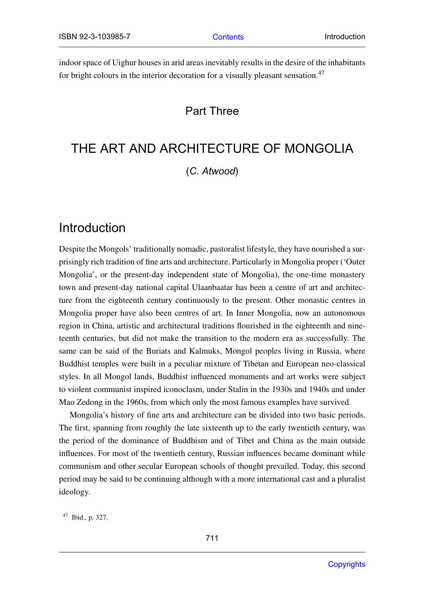indoor space of Uighur houses in arid areas inevitably results in the desire of the inhabitants for bright colours in the interior decoration for a visually pleasant sensation.<sup>47</sup>

### Part Three

# THE ART AND ARCHITECTURE OF MONGOLIA (*C. Atwood*)

### Introduction

Despite the Mongols' traditionally nomadic, pastoralist lifestyle, they have nourished a surprisingly rich tradition of fine arts and architecture. Particularly in Mongolia proper ('Outer Mongolia', or the present-day independent state of Mongolia), the one-time monastery town and present-day national capital Ulaanbaatar has been a centre of art and architecture from the eighteenth century continuously to the present. Other monastic centres in Mongolia proper have also been centres of art. In Inner Mongolia, now an autonomous region in China, artistic and architectural traditions flourished in the eighteenth and nineteenth centuries, but did not make the transition to the modern era as successfully. The same can be said of the Buriats and Kalmuks, Mongol peoples living in Russia, where Buddhist temples were built in a peculiar mixture of Tibetan and European neo-classical styles. In all Mongol lands, Buddhist influenced monuments and art works were subject to violent communist inspired iconoclasm, under Stalin in the 1930s and 1940s and under Mao Zedong in the 1960s, from which only the most famous examples have survived.

Mongolia's history of fine arts and architecture can be divided into two basic periods. The first, spanning from roughly the late sixteenth up to the early twentieth century, was the period of the dominance of Buddhism and of Tibet and China as the main outside influences. For most of the twentieth century, Russian influences became dominant while communism and other secular European schools of thought prevailed. Today, this second period may be said to be continuing although with a more international cast and a pluralist ideology.

<sup>47</sup> Ibid., p. 327.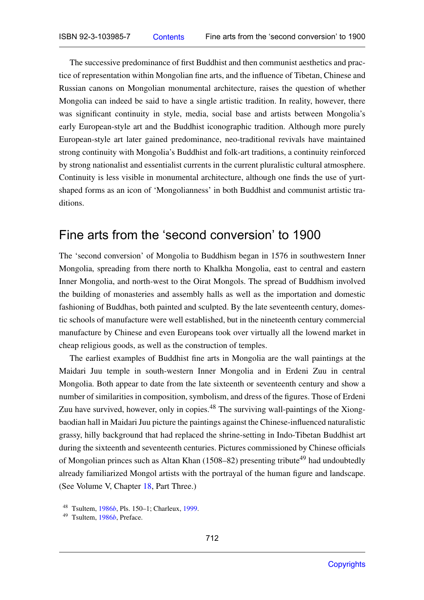The successive predominance of first Buddhist and then communist aesthetics and practice of representation within Mongolian fine arts, and the influence of Tibetan, Chinese and Russian canons on Mongolian monumental architecture, raises the question of whether Mongolia can indeed be said to have a single artistic tradition. In reality, however, there was significant continuity in style, media, social base and artists between Mongolia's early European-style art and the Buddhist iconographic tradition. Although more purely European-style art later gained predominance, neo-traditional revivals have maintained strong continuity with Mongolia's Buddhist and folk-art traditions, a continuity reinforced by strong nationalist and essentialist currents in the current pluralistic cultural atmosphere. Continuity is less visible in monumental architecture, although one finds the use of yurtshaped forms as an icon of 'Mongolianness' in both Buddhist and communist artistic traditions.

## Fine arts from the 'second conversion' to 1900

The 'second conversion' of Mongolia to Buddhism began in 1576 in southwestern Inner Mongolia, spreading from there north to Khalkha Mongolia, east to central and eastern Inner Mongolia, and north-west to the Oirat Mongols. The spread of Buddhism involved the building of monasteries and assembly halls as well as the importation and domestic fashioning of Buddhas, both painted and sculpted. By the late seventeenth century, domestic schools of manufacture were well established, but in the nineteenth century commercial manufacture by Chinese and even Europeans took over virtually all the lowend market in cheap religious goods, as well as the construction of temples.

The earliest examples of Buddhist fine arts in Mongolia are the wall paintings at the Maidari Juu temple in south-western Inner Mongolia and in Erdeni Zuu in central Mongolia. Both appear to date from the late sixteenth or seventeenth century and show a number of similarities in composition, symbolism, and dress of the figures. Those of Erdeni Zuu have survived, however, only in copies.<sup>48</sup> The surviving wall-paintings of the Xiongbaodian hall in Maidari Juu picture the paintings against the Chinese-influenced naturalistic grassy, hilly background that had replaced the shrine-setting in Indo-Tibetan Buddhist art during the sixteenth and seventeenth centuries. Pictures commissioned by Chinese officials of Mongolian princes such as Altan Khan  $(1508–82)$  presenting tribute<sup>49</sup> had undoubtedly already familiarized Mongol artists with the portrayal of the human figure and landscape. (See Volume V, Chapter 18, Part Three.)

<sup>48</sup> Tsultem, 1986*b*, Pls. 150–1; Charleux, 1999.

<sup>49</sup> Tsultem, 1986*b*, Preface.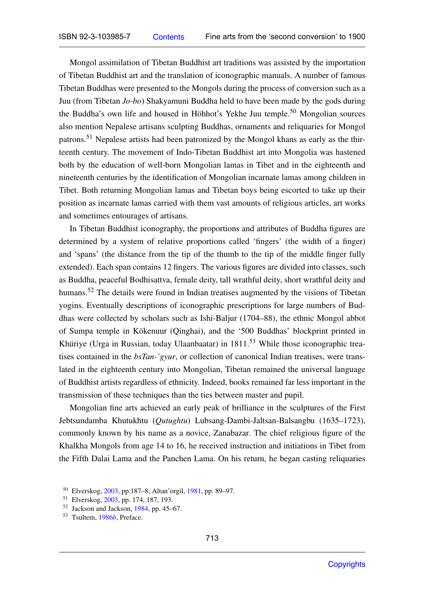Mongol assimilation of Tibetan Buddhist art traditions was assisted by the importation of Tibetan Buddhist art and the translation of iconographic manuals. A number of famous Tibetan Buddhas were presented to the Mongols during the process of conversion such as a Juu (from Tibetan *Jo-bo*) Shakyamuni Buddha held to have been made by the gods during the Buddha's own life and housed in Höhhot's Yekhe Juu temple.<sup>50</sup> Mongolian sources also mention Nepalese artisans sculpting Buddhas, ornaments and reliquaries for Mongol patrons.51 Nepalese artists had been patronized by the Mongol khans as early as the thirteenth century. The movement of Indo-Tibetan Buddhist art into Mongolia was hastened both by the education of well-born Mongolian lamas in Tibet and in the eighteenth and nineteenth centuries by the identification of Mongolian incarnate lamas among children in Tibet. Both returning Mongolian lamas and Tibetan boys being escorted to take up their position as incarnate lamas carried with them vast amounts of religious articles, art works and sometimes entourages of artisans.

In Tibetan Buddhist iconography, the proportions and attributes of Buddha figures are determined by a system of relative proportions called 'fingers' (the width of a finger) and 'spans' (the distance from the tip of the thumb to the tip of the middle finger fully extended). Each span contains 12 fingers. The various figures are divided into classes, such as Buddha, peaceful Bodhisattva, female deity, tall wrathful deity, short wrathful deity and humans.<sup>52</sup> The details were found in Indian treatises augmented by the visions of Tibetan yogins. Eventually descriptions of iconographic prescriptions for large numbers of Buddhas were collected by scholars such as Ishi-Baljur (1704–88), the ethnic Mongol abbot of Sumpa temple in Kökenuur (Qinghai), and the '500 Buddhas' blockprint printed in Khüriye (Urga in Russian, today Ulaanbaatar) in 1811.<sup>53</sup> While those iconographic treatises contained in the *bsTan-'gyur*, or collection of canonical Indian treatises, were translated in the eighteenth century into Mongolian, Tibetan remained the universal language of Buddhist artists regardless of ethnicity. Indeed, books remained far less important in the transmission of these techniques than the ties between master and pupil.

Mongolian fine arts achieved an early peak of brilliance in the sculptures of the First Jebtsundamba Khutukhtu (*Qutughtu*) Lubsang-Dambi-Jaltsan-Balsangbu (1635–1723), commonly known by his name as a novice, Zanabazar. The chief religious figure of the Khalkha Mongols from age 14 to 16, he received instruction and initiations in Tibet from the Fifth Dalai Lama and the Panchen Lama. On his return, he began casting reliquaries

<sup>50</sup> Elverskog, 2003, pp.187–8; Altan'orgil, 1981, pp. 89–97.

<sup>51</sup> Elverskog, 2003, pp. 174, 187, 193.

 $52$  Jackson and Jackson, 1984, pp. 45–67.

<sup>53</sup> Tsultem, 1986*b*, Preface.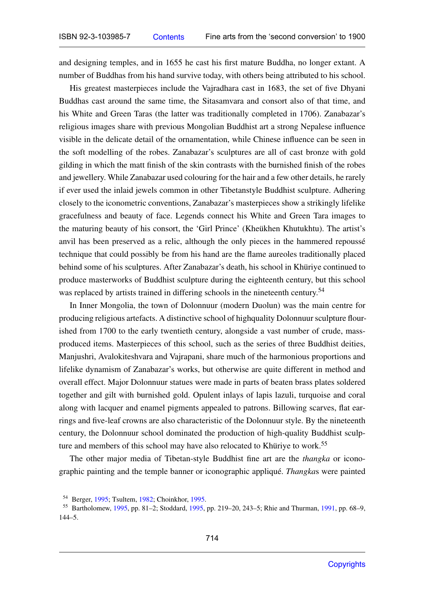and designing temples, and in 1655 he cast his first mature Buddha, no longer extant. A number of Buddhas from his hand survive today, with others being attributed to his school.

His greatest masterpieces include the Vajradhara cast in 1683, the set of five Dhyani Buddhas cast around the same time, the Sitasamvara and consort also of that time, and his White and Green Taras (the latter was traditionally completed in 1706). Zanabazar's religious images share with previous Mongolian Buddhist art a strong Nepalese influence visible in the delicate detail of the ornamentation, while Chinese influence can be seen in the soft modelling of the robes. Zanabazar's sculptures are all of cast bronze with gold gilding in which the matt finish of the skin contrasts with the burnished finish of the robes and jewellery. While Zanabazar used colouring for the hair and a few other details, he rarely if ever used the inlaid jewels common in other Tibetanstyle Buddhist sculpture. Adhering closely to the iconometric conventions, Zanabazar's masterpieces show a strikingly lifelike gracefulness and beauty of face. Legends connect his White and Green Tara images to the maturing beauty of his consort, the 'Girl Prince' (Kheükhen Khutukhtu). The artist's anvil has been preserved as a relic, although the only pieces in the hammered repoussé technique that could possibly be from his hand are the flame aureoles traditionally placed behind some of his sculptures. After Zanabazar's death, his school in Khüriye continued to produce masterworks of Buddhist sculpture during the eighteenth century, but this school was replaced by artists trained in differing schools in the nineteenth century.<sup>54</sup>

In Inner Mongolia, the town of Dolonnuur (modern Duolun) was the main centre for producing religious artefacts. A distinctive school of highquality Dolonnuur sculpture flourished from 1700 to the early twentieth century, alongside a vast number of crude, massproduced items. Masterpieces of this school, such as the series of three Buddhist deities, Manjushri, Avalokiteshvara and Vajrapani, share much of the harmonious proportions and lifelike dynamism of Zanabazar's works, but otherwise are quite different in method and overall effect. Major Dolonnuur statues were made in parts of beaten brass plates soldered together and gilt with burnished gold. Opulent inlays of lapis lazuli, turquoise and coral along with lacquer and enamel pigments appealed to patrons. Billowing scarves, flat earrings and five-leaf crowns are also characteristic of the Dolonnuur style. By the nineteenth century, the Dolonnuur school dominated the production of high-quality Buddhist sculpture and members of this school may have also relocated to Khüriye to work.<sup>55</sup>

The other major media of Tibetan-style Buddhist fine art are the *thangka* or iconographic painting and the temple banner or iconographic appliqué. *Thangka*s were painted

<sup>54</sup> Berger, 1995; Tsultem, 1982; Choinkhor, 1995.

<sup>55</sup> Bartholomew, 1995, pp. 81–2; Stoddard, 1995, pp. 219–20, 243–5; Rhie and Thurman, 1991, pp. 68–9, 144–5.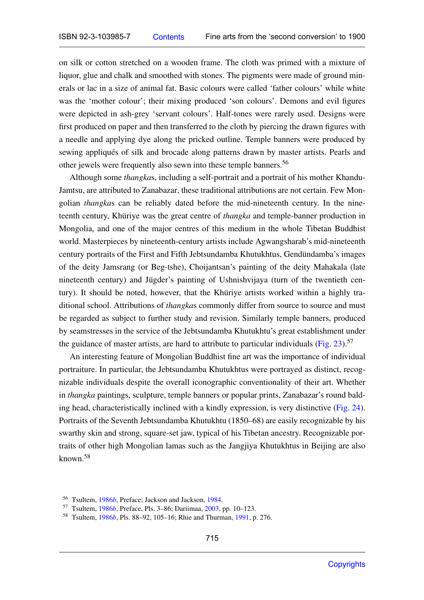on silk or cotton stretched on a wooden frame. The cloth was primed with a mixture of liquor, glue and chalk and smoothed with stones. The pigments were made of ground minerals or lac in a size of animal fat. Basic colours were called 'father colours' while white was the 'mother colour'; their mixing produced 'son colours'. Demons and evil figures were depicted in ash-grey 'servant colours'. Half-tones were rarely used. Designs were first produced on paper and then transferred to the cloth by piercing the drawn figures with a needle and applying dye along the pricked outline. Temple banners were produced by sewing appliqués of silk and brocade along patterns drawn by master artists. Pearls and other jewels were frequently also sewn into these temple banners.<sup>56</sup>

Although some *thangka*s, including a self-portrait and a portrait of his mother Khandu-Jamtsu, are attributed to Zanabazar, these traditional attributions are not certain. Few Mongolian *thangka*s can be reliably dated before the mid-nineteenth century. In the nineteenth century, Khüriye was the great centre of *thangka* and temple-banner production in Mongolia, and one of the major centres of this medium in the whole Tibetan Buddhist world. Masterpieces by nineteenth-century artists include Agwangsharab's mid-nineteenth century portraits of the First and Fifth Jebtsundamba Khutukhtus, Gendündamba's images of the deity Jamsrang (or Beg-tshe), Choijantsan's painting of the deity Mahakala (late nineteenth century) and Jügder's painting of Ushnishvijaya (turn of the twentieth century). It should be noted, however, that the Khüriye artists worked within a highly traditional school. Attributions of *thangka*s commonly differ from source to source and must be regarded as subject to further study and revision. Similarly temple banners, produced by seamstresses in the service of the Jebtsundamba Khutukhtu's great establishment under the guidance of master artists, are hard to attribute to particular individuals (Fig.  $23$ ).<sup>57</sup>

An interesting feature of Mongolian Buddhist fine art was the importance of individual portraiture. In particular, the Jebtsundamba Khutukhtus were portrayed as distinct, recognizable individuals despite the overall iconographic conventionality of their art. Whether in *thangka* paintings, sculpture, temple banners or popular prints, Zanabazar's round balding head, characteristically inclined with a kindly expression, is very distinctive (Fig. 24). Portraits of the Seventh Jebtsundamba Khutukhtu (1850–68) are easily recognizable by his swarthy skin and strong, square-set jaw, typical of his Tibetan ancestry. Recognizable portraits of other high Mongolian lamas such as the Jangjiya Khutukhtus in Beijing are also known.<sup>58</sup>

<sup>56</sup> Tsultem, 1986*b*, Preface; Jackson and Jackson, 1984.

<sup>57</sup> Tsultem, 1986*b*, Preface, Pls. 3–86; Dariimaa, 2003, pp. 10–123.

<sup>58</sup> Tsultem, 1986*b*, Pls. 88–92, 105–16; Rhie and Thurman, 1991, p. 276.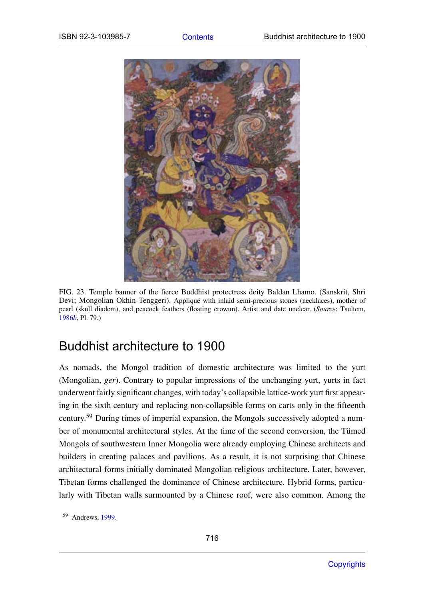

FIG. 23. Temple banner of the fierce Buddhist protectress deity Baldan Lhamo. (Sanskrit, Shri Devi; Mongolian Okhin Tenggeri). Appliqué with inlaid semi-precious stones (necklaces), mother of pearl (skull diadem), and peacock feathers (floating crowun). Artist and date unclear. (*Source*: Tsultem, 1986*b*, Pl. 79.)

# Buddhist architecture to 1900

As nomads, the Mongol tradition of domestic architecture was limited to the yurt (Mongolian, *ger*). Contrary to popular impressions of the unchanging yurt, yurts in fact underwent fairly significant changes, with today's collapsible lattice-work yurt first appearing in the sixth century and replacing non-collapsible forms on carts only in the fifteenth century.<sup>59</sup> During times of imperial expansion, the Mongols successively adopted a number of monumental architectural styles. At the time of the second conversion, the Tümed Mongols of southwestern Inner Mongolia were already employing Chinese architects and builders in creating palaces and pavilions. As a result, it is not surprising that Chinese architectural forms initially dominated Mongolian religious architecture. Later, however, Tibetan forms challenged the dominance of Chinese architecture. Hybrid forms, particularly with Tibetan walls surmounted by a Chinese roof, were also common. Among the

<sup>59</sup> Andrews, 1999.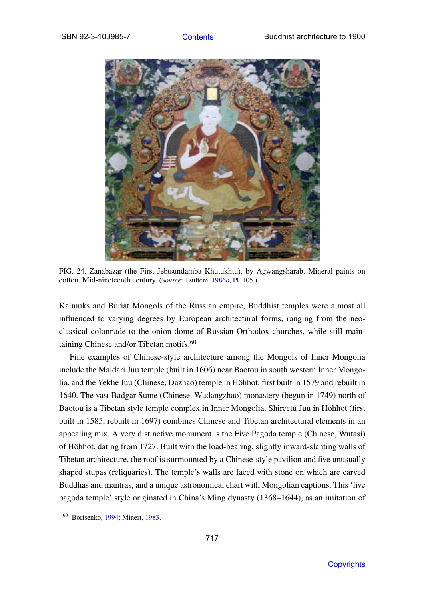

FIG. 24. Zanabazar (the First Jebtsundamba Khutukhtu), by Agwangsharab. Mineral paints on cotton. Mid-nineteenth century. (*Source*: Tsultem, 1986*b*, Pl. 105.)

Kalmuks and Buriat Mongols of the Russian empire, Buddhist temples were almost all influenced to varying degrees by European architectural forms, ranging from the neoclassical colonnade to the onion dome of Russian Orthodox churches, while still maintaining Chinese and/or Tibetan motifs.<sup>60</sup>

Fine examples of Chinese-style architecture among the Mongols of Inner Mongolia include the Maidari Juu temple (built in 1606) near Baotou in south western Inner Mongolia, and the Yekhe Juu (Chinese, Dazhao) temple in Höhhot, first built in 1579 and rebuilt in 1640. The vast Badgar Sume (Chinese, Wudangzhao) monastery (begun in 1749) north of Baotou is a Tibetan style temple complex in Inner Mongolia. Shireetü Juu in Höhhot (first built in 1585, rebuilt in 1697) combines Chinese and Tibetan architectural elements in an appealing mix. A very distinctive monument is the Five Pagoda temple (Chinese, Wutasi) of Höhhot, dating from 1727. Built with the load-bearing, slightly inward-slanting walls of Tibetan architecture, the roof is surmounted by a Chinese-style pavilion and five unusually shaped stupas (reliquaries). The temple's walls are faced with stone on which are carved Buddhas and mantras, and a unique astronomical chart with Mongolian captions. This 'five pagoda temple' style originated in China's Ming dynasty (1368–1644), as an imitation of

<sup>60</sup> Borisenko, 1994; Minert, 1983.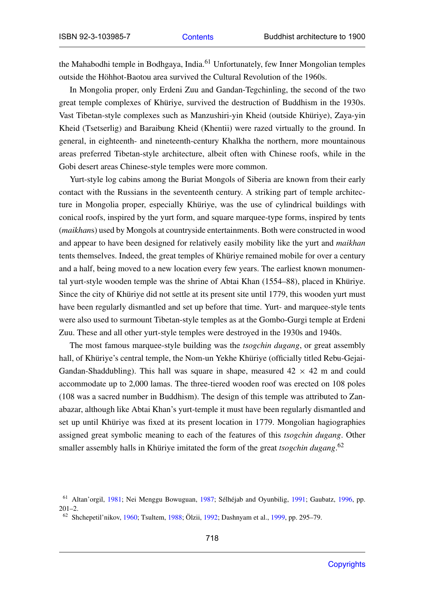the Mahabodhi temple in Bodhgaya, India.<sup>61</sup> Unfortunately, few Inner Mongolian temples outside the Höhhot-Baotou area survived the Cultural Revolution of the 1960s.

In Mongolia proper, only Erdeni Zuu and Gandan-Tegchinling, the second of the two great temple complexes of Khüriye, survived the destruction of Buddhism in the 1930s. Vast Tibetan-style complexes such as Manzushiri-yin Kheid (outside Khüriye), Zaya-yin Kheid (Tsetserlig) and Baraibung Kheid (Khentii) were razed virtually to the ground. In general, in eighteenth- and nineteenth-century Khalkha the northern, more mountainous areas preferred Tibetan-style architecture, albeit often with Chinese roofs, while in the Gobi desert areas Chinese-style temples were more common.

Yurt-style log cabins among the Buriat Mongols of Siberia are known from their early contact with the Russians in the seventeenth century. A striking part of temple architecture in Mongolia proper, especially Khüriye, was the use of cylindrical buildings with conical roofs, inspired by the yurt form, and square marquee-type forms, inspired by tents (*maikhan*s) used by Mongols at countryside entertainments. Both were constructed in wood and appear to have been designed for relatively easily mobility like the yurt and *maikhan* tents themselves. Indeed, the great temples of Khüriye remained mobile for over a century and a half, being moved to a new location every few years. The earliest known monumental yurt-style wooden temple was the shrine of Abtai Khan (1554–88), placed in Khüriye. Since the city of Khüriye did not settle at its present site until 1779, this wooden yurt must have been regularly dismantled and set up before that time. Yurt- and marquee-style tents were also used to surmount Tibetan-style temples as at the Gombo-Gurgi temple at Erdeni Zuu. These and all other yurt-style temples were destroyed in the 1930s and 1940s.

The most famous marquee-style building was the *tsogchin dugang*, or great assembly hall, of Khüriye's central temple, the Nom-un Yekhe Khüriye (officially titled Rebu-Gejai-Gandan-Shaddubling). This hall was square in shape, measured  $42 \times 42$  m and could accommodate up to 2,000 lamas. The three-tiered wooden roof was erected on 108 poles (108 was a sacred number in Buddhism). The design of this temple was attributed to Zanabazar, although like Abtai Khan's yurt-temple it must have been regularly dismantled and set up until Khüriye was fixed at its present location in 1779. Mongolian hagiographies assigned great symbolic meaning to each of the features of this *tsogchin dugang*. Other smaller assembly halls in Khüriye imitated the form of the great *tsogchin dugang*. 62

<sup>&</sup>lt;sup>61</sup> Altan'orgil, 1981; Nei Menggu Bowuguan, 1987; Sélhéjab and Oyunbilig, 1991; Gaubatz, 1996, pp.  $201 - 2$ .

<sup>62</sup> Shchepetil'nikov, 1960; Tsultem, 1988; Ölzii, 1992; Dashnyam et al., 1999, pp. 295–79.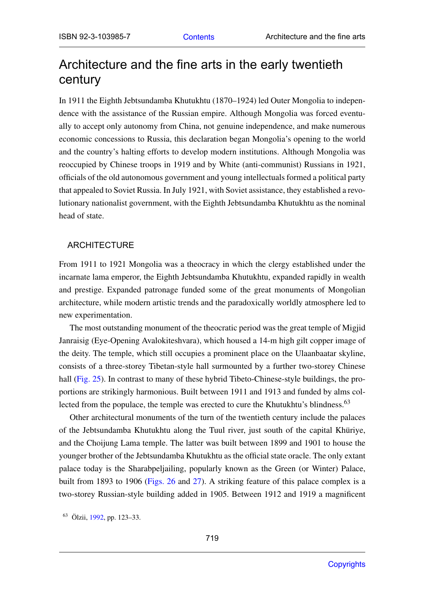# Architecture and the fine arts in the early twentieth century

In 1911 the Eighth Jebtsundamba Khutukhtu (1870–1924) led Outer Mongolia to independence with the assistance of the Russian empire. Although Mongolia was forced eventually to accept only autonomy from China, not genuine independence, and make numerous economic concessions to Russia, this declaration began Mongolia's opening to the world and the country's halting efforts to develop modern institutions. Although Mongolia was reoccupied by Chinese troops in 1919 and by White (anti-communist) Russians in 1921, officials of the old autonomous government and young intellectuals formed a political party that appealed to Soviet Russia. In July 1921, with Soviet assistance, they established a revolutionary nationalist government, with the Eighth Jebtsundamba Khutukhtu as the nominal head of state.

#### **ARCHITECTURE**

From 1911 to 1921 Mongolia was a theocracy in which the clergy established under the incarnate lama emperor, the Eighth Jebtsundamba Khutukhtu, expanded rapidly in wealth and prestige. Expanded patronage funded some of the great monuments of Mongolian architecture, while modern artistic trends and the paradoxically worldly atmosphere led to new experimentation.

The most outstanding monument of the theocratic period was the great temple of Migjid Janraisig (Eye-Opening Avalokiteshvara), which housed a 14-m high gilt copper image of the deity. The temple, which still occupies a prominent place on the Ulaanbaatar skyline, consists of a three-storey Tibetan-style hall surmounted by a further two-storey Chinese hall (Fig. 25). In contrast to many of these hybrid Tibeto-Chinese-style buildings, the proportions are strikingly harmonious. Built between 1911 and 1913 and funded by alms collected from the populace, the temple was erected to cure the Khutukhtu's blindness.<sup>63</sup>

Other architectural monuments of the turn of the twentieth century include the palaces of the Jebtsundamba Khutukhtu along the Tuul river, just south of the capital Khüriye, and the Choijung Lama temple. The latter was built between 1899 and 1901 to house the younger brother of the Jebtsundamba Khutukhtu as the official state oracle. The only extant palace today is the Sharabpeljailing, popularly known as the Green (or Winter) Palace, built from 1893 to 1906 (Figs. 26 and 27). A striking feature of this palace complex is a two-storey Russian-style building added in 1905. Between 1912 and 1919 a magnificent

<sup>63</sup> Ölzii, 1992, pp. 123–33.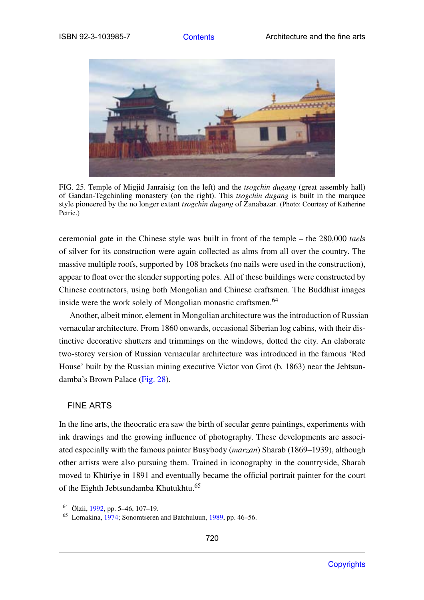

FIG. 25. Temple of Migjid Janraisig (on the left) and the *tsogchin dugang* (great assembly hall) of Gandan-Tegchinling monastery (on the right). This *tsogchin dugang* is built in the marquee style pioneered by the no longer extant *tsogchin dugang* of Zanabazar. (Photo: Courtesy of Katherine Petrie.)

ceremonial gate in the Chinese style was built in front of the temple – the 280,000 *tael*s of silver for its construction were again collected as alms from all over the country. The massive multiple roofs, supported by 108 brackets (no nails were used in the construction), appear to float over the slender supporting poles. All of these buildings were constructed by Chinese contractors, using both Mongolian and Chinese craftsmen. The Buddhist images inside were the work solely of Mongolian monastic craftsmen.<sup>64</sup>

Another, albeit minor, element in Mongolian architecture was the introduction of Russian vernacular architecture. From 1860 onwards, occasional Siberian log cabins, with their distinctive decorative shutters and trimmings on the windows, dotted the city. An elaborate two-storey version of Russian vernacular architecture was introduced in the famous 'Red House' built by the Russian mining executive Victor von Grot (b. 1863) near the Jebtsundamba's Brown Palace (Fig. 28).

#### FINE ARTS

In the fine arts, the theocratic era saw the birth of secular genre paintings, experiments with ink drawings and the growing influence of photography. These developments are associated especially with the famous painter Busybody (*marzan*) Sharab (1869–1939), although other artists were also pursuing them. Trained in iconography in the countryside, Sharab moved to Khüriye in 1891 and eventually became the official portrait painter for the court of the Eighth Jebtsundamba Khutukhtu.<sup>65</sup>

<sup>64</sup> Ölzii, 1992, pp. 5–46, 107–19.

<sup>65</sup> Lomakina, 1974; Sonomtseren and Batchuluun, 1989, pp. 46–56.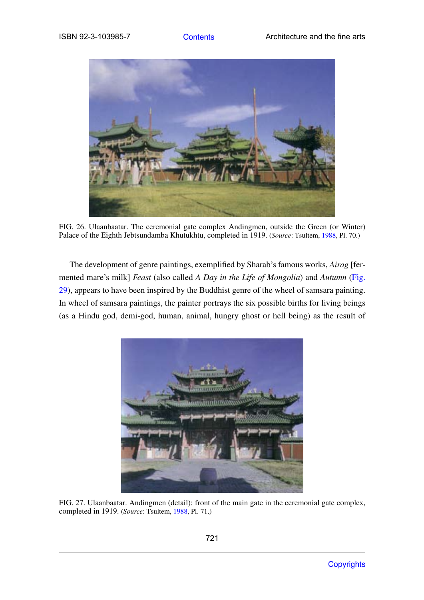

FIG. 26. Ulaanbaatar. The ceremonial gate complex Andingmen, outside the Green (or Winter) Palace of the Eighth Jebtsundamba Khutukhtu, completed in 1919. (*Source*: Tsultem, 1988, Pl. 70.)

The development of genre paintings, exemplified by Sharab's famous works, *Airag* [fermented mare's milk] *Feast* (also called *A Day in the Life of Mongolia*) and *Autumn* (Fig. 29), appears to have been inspired by the Buddhist genre of the wheel of samsara painting. In wheel of samsara paintings, the painter portrays the six possible births for living beings (as a Hindu god, demi-god, human, animal, hungry ghost or hell being) as the result of



FIG. 27. Ulaanbaatar. Andingmen (detail): front of the main gate in the ceremonial gate complex, completed in 1919. (*Source*: Tsultem, 1988, Pl. 71.)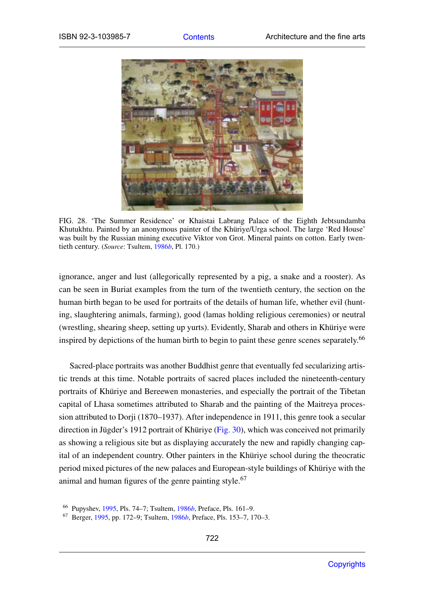

FIG. 28. 'The Summer Residence' or Khaistai Labrang Palace of the Eighth Jebtsundamba Khutukhtu. Painted by an anonymous painter of the Khüriye/Urga school. The large 'Red House' was built by the Russian mining executive Viktor von Grot. Mineral paints on cotton. Early twentieth century. (*Source*: Tsultem, 1986*b*, Pl. 170.)

ignorance, anger and lust (allegorically represented by a pig, a snake and a rooster). As can be seen in Buriat examples from the turn of the twentieth century, the section on the human birth began to be used for portraits of the details of human life, whether evil (hunting, slaughtering animals, farming), good (lamas holding religious ceremonies) or neutral (wrestling, shearing sheep, setting up yurts). Evidently, Sharab and others in Khüriye were inspired by depictions of the human birth to begin to paint these genre scenes separately.<sup>66</sup>

Sacred-place portraits was another Buddhist genre that eventually fed secularizing artistic trends at this time. Notable portraits of sacred places included the nineteenth-century portraits of Khüriye and Bereewen monasteries, and especially the portrait of the Tibetan capital of Lhasa sometimes attributed to Sharab and the painting of the Maitreya procession attributed to Dorji (1870–1937). After independence in 1911, this genre took a secular direction in Jügder's 1912 portrait of Khüriye (Fig. 30), which was conceived not primarily as showing a religious site but as displaying accurately the new and rapidly changing capital of an independent country. Other painters in the Khüriye school during the theocratic period mixed pictures of the new palaces and European-style buildings of Khüriye with the animal and human figures of the genre painting style.<sup>67</sup>

<sup>66</sup> Pupyshev, 1995, Pls. 74–7; Tsultem, 1986*b*, Preface, Pls. 161–9.

<sup>67</sup> Berger, 1995, pp. 172–9; Tsultem, 1986*b*, Preface, Pls. 153–7, 170–3.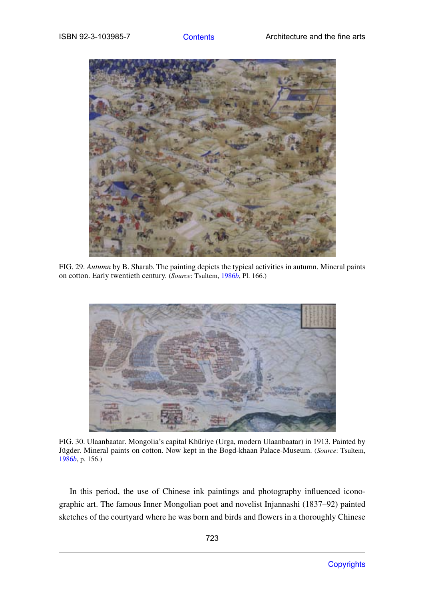![](_page_14_Picture_3.jpeg)

FIG. 29. *Autumn* by B. Sharab. The painting depicts the typical activities in autumn. Mineral paints on cotton. Early twentieth century. (*Source*: Tsultem, 1986*b*, Pl. 166.)

![](_page_14_Picture_5.jpeg)

FIG. 30. Ulaanbaatar. Mongolia's capital Khüriye (Urga, modern Ulaanbaatar) in 1913. Painted by Jügder. Mineral paints on cotton. Now kept in the Bogd-khaan Palace-Museum. (*Source*: Tsultem, 1986*b*, p. 156.)

In this period, the use of Chinese ink paintings and photography influenced iconographic art. The famous Inner Mongolian poet and novelist Injannashi (1837–92) painted sketches of the courtyard where he was born and birds and flowers in a thoroughly Chinese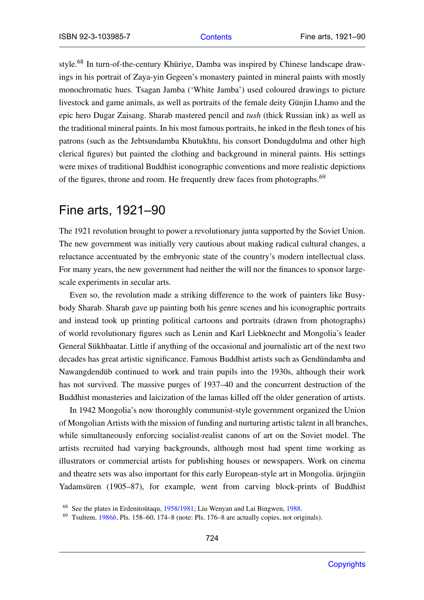style.<sup>68</sup> In turn-of-the-century Khüriye, Damba was inspired by Chinese landscape drawings in his portrait of Zaya-yin Gegeen's monastery painted in mineral paints with mostly monochromatic hues. Tsagan Jamba ('White Jamba') used coloured drawings to picture livestock and game animals, as well as portraits of the female deity Günjin Lhamo and the epic hero Dugar Zaisang. Sharab mastered pencil and *tush* (thick Russian ink) as well as the traditional mineral paints. In his most famous portraits, he inked in the flesh tones of his patrons (such as the Jebtsundamba Khutukhtu, his consort Dondugdulma and other high clerical figures) but painted the clothing and background in mineral paints. His settings were mixes of traditional Buddhist iconographic conventions and more realistic depictions of the figures, throne and room. He frequently drew faces from photographs.<sup>69</sup>

### Fine arts, 1921–90

The 1921 revolution brought to power a revolutionary junta supported by the Soviet Union. The new government was initially very cautious about making radical cultural changes, a reluctance accentuated by the embryonic state of the country's modern intellectual class. For many years, the new government had neither the will nor the finances to sponsor largescale experiments in secular arts.

Even so, the revolution made a striking difference to the work of painters like Busybody Sharab. Sharab gave up painting both his genre scenes and his iconographic portraits and instead took up printing political cartoons and portraits (drawn from photographs) of world revolutionary figures such as Lenin and Karl Liebknecht and Mongolia's leader General Sükhbaatar. Little if anything of the occasional and journalistic art of the next two decades has great artistic significance. Famous Buddhist artists such as Gendündamba and Nawangdendüb continued to work and train pupils into the 1930s, although their work has not survived. The massive purges of 1937–40 and the concurrent destruction of the Buddhist monasteries and laicization of the lamas killed off the older generation of artists.

In 1942 Mongolia's now thoroughly communist-style government organized the Union of Mongolian Artists with the mission of funding and nurturing artistic talent in all branches, while simultaneously enforcing socialist-realist canons of art on the Soviet model. The artists recruited had varying backgrounds, although most had spent time working as illustrators or commercial artists for publishing houses or newspapers. Work on cinema and theatre sets was also important for this early European-style art in Mongolia. ürjingiin Yadamsüren (1905–87), for example, went from carving block-prints of Buddhist

<sup>68</sup> See the plates in Erdenitoütaqu, 1958/1981; Liu Wenyan and Lai Bingwen, 1988.

<sup>69</sup> Tsultem, 1986*b*, Pls. 158–60, 174–8 (note: Pls. 176–8 are actually copies, not originals).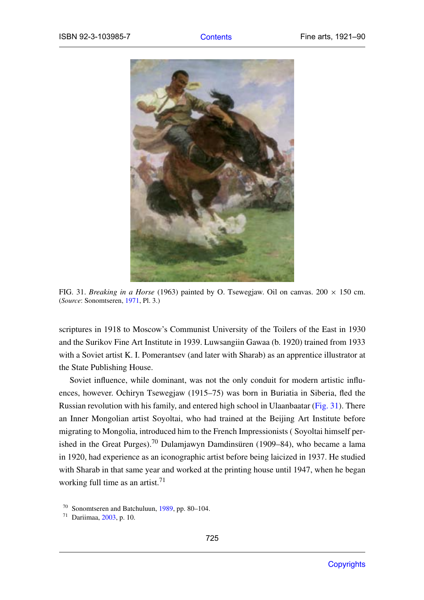![](_page_16_Picture_3.jpeg)

FIG. 31. *Breaking in a Horse* (1963) painted by O. Tsewegjaw. Oil on canvas.  $200 \times 150$  cm. (*Source*: Sonomtseren, 1971, Pl. 3.)

scriptures in 1918 to Moscow's Communist University of the Toilers of the East in 1930 and the Surikov Fine Art Institute in 1939. Luwsangiin Gawaa (b. 1920) trained from 1933 with a Soviet artist K. I. Pomerantsev (and later with Sharab) as an apprentice illustrator at the State Publishing House.

Soviet influence, while dominant, was not the only conduit for modern artistic influences, however. Ochiryn Tsewegjaw (1915–75) was born in Buriatia in Siberia, fled the Russian revolution with his family, and entered high school in Ulaanbaatar (Fig. 31). There an Inner Mongolian artist Soyoltai, who had trained at the Beijing Art Institute before migrating to Mongolia, introduced him to the French Impressionists ( Soyoltai himself perished in the Great Purges).<sup>70</sup> Dulamjawyn Damdinsüren (1909–84), who became a lama in 1920, had experience as an iconographic artist before being laicized in 1937. He studied with Sharab in that same year and worked at the printing house until 1947, when he began working full time as an artist.<sup>71</sup>

<sup>71</sup> Dariimaa, 2003, p. 10.

<sup>70</sup> Sonomtseren and Batchuluun, 1989, pp. 80–104.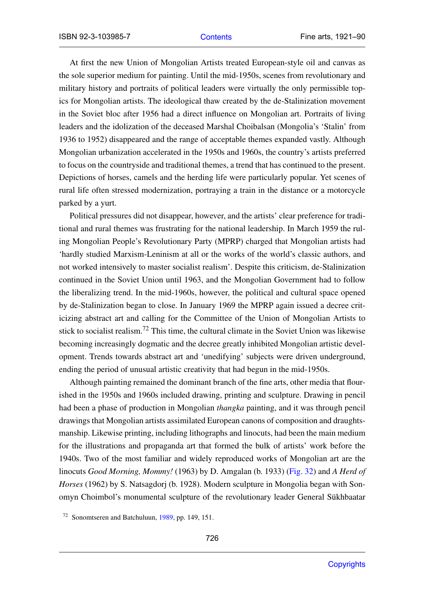At first the new Union of Mongolian Artists treated European-style oil and canvas as the sole superior medium for painting. Until the mid-1950s, scenes from revolutionary and military history and portraits of political leaders were virtually the only permissible topics for Mongolian artists. The ideological thaw created by the de-Stalinization movement in the Soviet bloc after 1956 had a direct influence on Mongolian art. Portraits of living leaders and the idolization of the deceased Marshal Choibalsan (Mongolia's 'Stalin' from 1936 to 1952) disappeared and the range of acceptable themes expanded vastly. Although Mongolian urbanization accelerated in the 1950s and 1960s, the country's artists preferred to focus on the countryside and traditional themes, a trend that has continued to the present. Depictions of horses, camels and the herding life were particularly popular. Yet scenes of rural life often stressed modernization, portraying a train in the distance or a motorcycle parked by a yurt.

Political pressures did not disappear, however, and the artists' clear preference for traditional and rural themes was frustrating for the national leadership. In March 1959 the ruling Mongolian People's Revolutionary Party (MPRP) charged that Mongolian artists had 'hardly studied Marxism-Leninism at all or the works of the world's classic authors, and not worked intensively to master socialist realism'. Despite this criticism, de-Stalinization continued in the Soviet Union until 1963, and the Mongolian Government had to follow the liberalizing trend. In the mid-1960s, however, the political and cultural space opened by de-Stalinization began to close. In January 1969 the MPRP again issued a decree criticizing abstract art and calling for the Committee of the Union of Mongolian Artists to stick to socialist realism.<sup>72</sup> This time, the cultural climate in the Soviet Union was likewise becoming increasingly dogmatic and the decree greatly inhibited Mongolian artistic development. Trends towards abstract art and 'unedifying' subjects were driven underground, ending the period of unusual artistic creativity that had begun in the mid-1950s.

Although painting remained the dominant branch of the fine arts, other media that flourished in the 1950s and 1960s included drawing, printing and sculpture. Drawing in pencil had been a phase of production in Mongolian *thangka* painting, and it was through pencil drawings that Mongolian artists assimilated European canons of composition and draughtsmanship. Likewise printing, including lithographs and linocuts, had been the main medium for the illustrations and propaganda art that formed the bulk of artists' work before the 1940s. Two of the most familiar and widely reproduced works of Mongolian art are the linocuts *Good Morning, Mommy!* (1963) by D. Amgalan (b. 1933) (Fig. 32) and *A Herd of Horses* (1962) by S. Natsagdorj (b. 1928). Modern sculpture in Mongolia began with Sonomyn Choimbol's monumental sculpture of the revolutionary leader General Sükhbaatar

<sup>72</sup> Sonomtseren and Batchuluun, 1989, pp. 149, 151.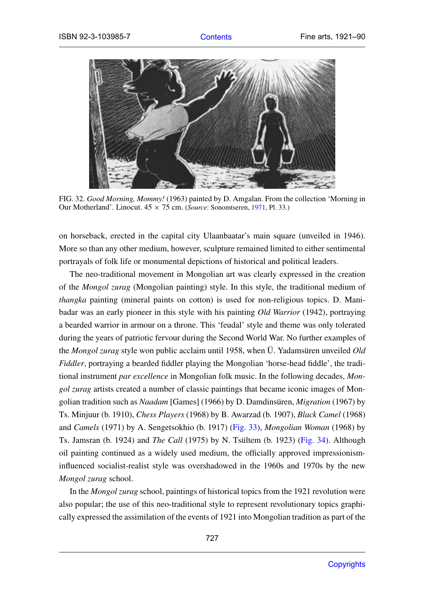![](_page_18_Picture_3.jpeg)

FIG. 32. *Good Morning, Mommy!* (1963) painted by D. Amgalan. From the collection 'Morning in Our Motherland'. Linocut.  $45 \times 75$  cm. (*Source*: Sonomtseren, 1971, Pl. 33.)

on horseback, erected in the capital city Ulaanbaatar's main square (unveiled in 1946). More so than any other medium, however, sculpture remained limited to either sentimental portrayals of folk life or monumental depictions of historical and political leaders.

The neo-traditional movement in Mongolian art was clearly expressed in the creation of the *Mongol zurag* (Mongolian painting) style. In this style, the traditional medium of *thangka* painting (mineral paints on cotton) is used for non-religious topics. D. Manibadar was an early pioneer in this style with his painting *Old Warrior* (1942), portraying a bearded warrior in armour on a throne. This 'feudal' style and theme was only tolerated during the years of patriotic fervour during the Second World War. No further examples of the *Mongol zurag* style won public acclaim until 1958, when Ü. Yadamsüren unveiled *Old Fiddler*, portraying a bearded fiddler playing the Mongolian 'horse-head fiddle', the traditional instrument *par excellence* in Mongolian folk music. In the following decades, *Mongol zurag* artists created a number of classic paintings that became iconic images of Mongolian tradition such as *Naadam* [Games] (1966) by D. Damdinsüren, *Migration* (1967) by Ts. Minjuur (b. 1910), *Chess Players* (1968) by B. Awarzad (b. 1907), *Black Camel* (1968) and *Camels* (1971) by A. Sengetsokhio (b. 1917) (Fig. 33), *Mongolian Woman* (1968) by Ts. Jamsran (b. 1924) and *The Call* (1975) by N. Tsültem (b. 1923) (Fig. 34). Although oil painting continued as a widely used medium, the officially approved impressionisminfluenced socialist-realist style was overshadowed in the 1960s and 1970s by the new *Mongol zurag* school.

In the *Mongol zurag* school, paintings of historical topics from the 1921 revolution were also popular; the use of this neo-traditional style to represent revolutionary topics graphically expressed the assimilation of the events of 1921 into Mongolian tradition as part of the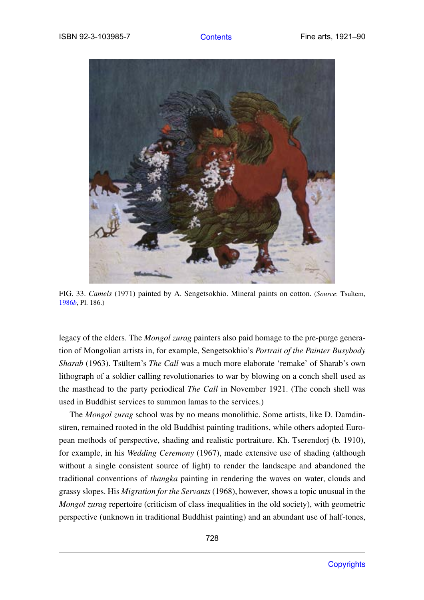![](_page_19_Picture_3.jpeg)

FIG. 33. *Camels* (1971) painted by A. Sengetsokhio. Mineral paints on cotton. (*Source*: Tsultem, 1986*b*, Pl. 186.)

legacy of the elders. The *Mongol zurag* painters also paid homage to the pre-purge generation of Mongolian artists in, for example, Sengetsokhio's *Portrait of the Painter Busybody Sharab* (1963). Tsültem's *The Call* was a much more elaborate 'remake' of Sharab's own lithograph of a soldier calling revolutionaries to war by blowing on a conch shell used as the masthead to the party periodical *The Call* in November 1921. (The conch shell was used in Buddhist services to summon lamas to the services.)

The *Mongol zurag* school was by no means monolithic. Some artists, like D. Damdinsüren, remained rooted in the old Buddhist painting traditions, while others adopted European methods of perspective, shading and realistic portraiture. Kh. Tserendorj (b. 1910), for example, in his *Wedding Ceremony* (1967), made extensive use of shading (although without a single consistent source of light) to render the landscape and abandoned the traditional conventions of *thangka* painting in rendering the waves on water, clouds and grassy slopes. His *Migration for the Servants* (1968), however, shows a topic unusual in the *Mongol zurag* repertoire (criticism of class inequalities in the old society), with geometric perspective (unknown in traditional Buddhist painting) and an abundant use of half-tones,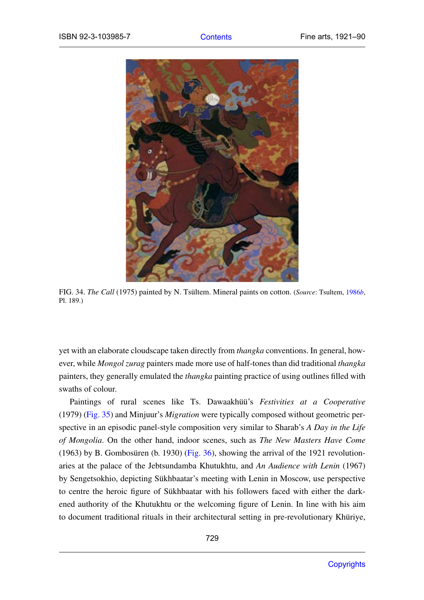![](_page_20_Picture_3.jpeg)

FIG. 34. *The Call* (1975) painted by N. Tsültem. Mineral paints on cotton. (*Source*: Tsultem, 1986*b*, Pl. 189.)

yet with an elaborate cloudscape taken directly from *thangka* conventions. In general, however, while *Mongol zurag* painters made more use of half-tones than did traditional *thangka* painters, they generally emulated the *thangka* painting practice of using outlines filled with swaths of colour.

Paintings of rural scenes like Ts. Dawaakhüü's *Festivities at a Cooperative* (1979) (Fig. 35) and Minjuur's *Migration* were typically composed without geometric perspective in an episodic panel-style composition very similar to Sharab's *A Day in the Life of Mongolia*. On the other hand, indoor scenes, such as *The New Masters Have Come* (1963) by B. Gombosüren (b. 1930) (Fig. 36), showing the arrival of the 1921 revolutionaries at the palace of the Jebtsundamba Khutukhtu, and *An Audience with Lenin* (1967) by Sengetsokhio, depicting Sükhbaatar's meeting with Lenin in Moscow, use perspective to centre the heroic figure of Sükhbaatar with his followers faced with either the darkened authority of the Khutukhtu or the welcoming figure of Lenin. In line with his aim to document traditional rituals in their architectural setting in pre-revolutionary Khüriye,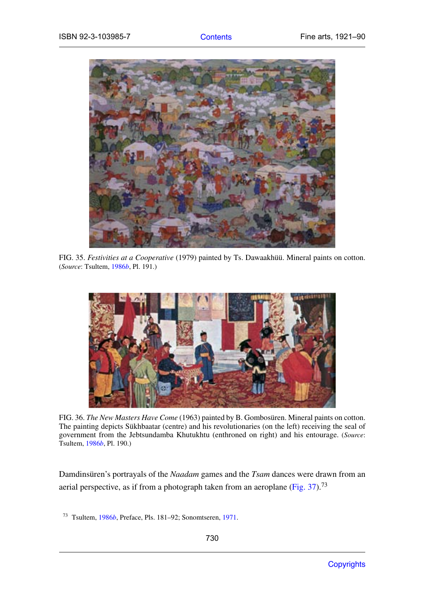![](_page_21_Picture_3.jpeg)

FIG. 35. *Festivities at a Cooperative* (1979) painted by Ts. Dawaakhüü. Mineral paints on cotton. (*Source*: Tsultem, 1986*b*, Pl. 191.)

![](_page_21_Picture_5.jpeg)

FIG. 36. *The New Masters Have Come* (1963) painted by B. Gombosüren. Mineral paints on cotton. The painting depicts Sükhbaatar (centre) and his revolutionaries (on the left) receiving the seal of government from the Jebtsundamba Khutukhtu (enthroned on right) and his entourage. (*Source*: Tsultem, 1986*b*, Pl. 190.)

Damdinsüren's portrayals of the *Naadam* games and the *Tsam* dances were drawn from an aerial perspective, as if from a photograph taken from an aeroplane (Fig. 37).<sup>73</sup>

<sup>73</sup> Tsultem, 1986*b*, Preface, Pls. 181–92; Sonomtseren, 1971.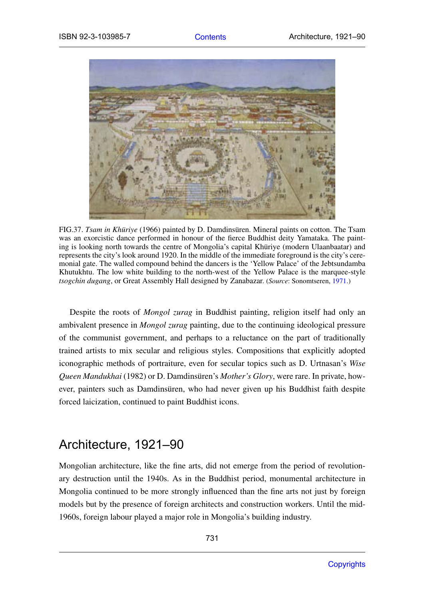![](_page_22_Picture_3.jpeg)

FIG.37. *Tsam in Khüriye* (1966) painted by D. Damdinsüren. Mineral paints on cotton. The Tsam was an exorcistic dance performed in honour of the fierce Buddhist deity Yamataka. The painting is looking north towards the centre of Mongolia's capital Khüriye (modern Ulaanbaatar) and represents the city's look around 1920. In the middle of the immediate foreground is the city's ceremonial gate. The walled compound behind the dancers is the 'Yellow Palace' of the Jebtsundamba Khutukhtu. The low white building to the north-west of the Yellow Palace is the marquee-style *tsogchin dugang*, or Great Assembly Hall designed by Zanabazar. (*Source*: Sonomtseren, 1971.)

Despite the roots of *Mongol zurag* in Buddhist painting, religion itself had only an ambivalent presence in *Mongol zurag* painting, due to the continuing ideological pressure of the communist government, and perhaps to a reluctance on the part of traditionally trained artists to mix secular and religious styles. Compositions that explicitly adopted iconographic methods of portraiture, even for secular topics such as D. Urtnasan's *Wise Queen Mandukhai* (1982) or D. Damdinsüren's *Mother's Glory*, were rare. In private, however, painters such as Damdinsüren, who had never given up his Buddhist faith despite forced laicization, continued to paint Buddhist icons.

# Architecture, 1921–90

Mongolian architecture, like the fine arts, did not emerge from the period of revolutionary destruction until the 1940s. As in the Buddhist period, monumental architecture in Mongolia continued to be more strongly influenced than the fine arts not just by foreign models but by the presence of foreign architects and construction workers. Until the mid-1960s, foreign labour played a major role in Mongolia's building industry.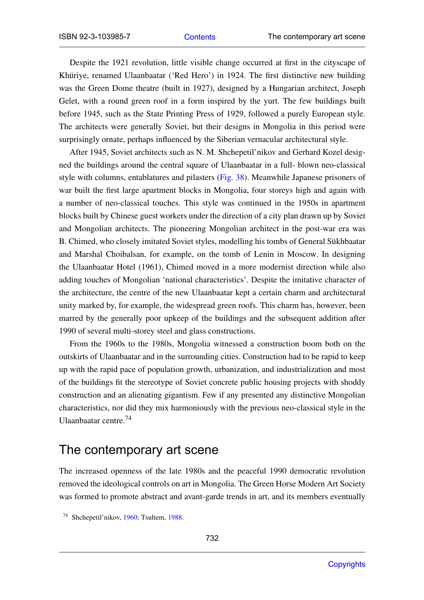Despite the 1921 revolution, little visible change occurred at first in the cityscape of Khüriye, renamed Ulaanbaatar ('Red Hero') in 1924. The first distinctive new building was the Green Dome theatre (built in 1927), designed by a Hungarian architect, Joseph Gelet, with a round green roof in a form inspired by the yurt. The few buildings built before 1945, such as the State Printing Press of 1929, followed a purely European style. The architects were generally Soviet, but their designs in Mongolia in this period were surprisingly ornate, perhaps influenced by the Siberian vernacular architectural style.

After 1945, Soviet architects such as N. M. Shchepetil'nikov and Gerhard Kozel designed the buildings around the central square of Ulaanbaatar in a full- blown neo-classical style with columns, entablatures and pilasters (Fig. 38). Meanwhile Japanese prisoners of war built the first large apartment blocks in Mongolia, four storeys high and again with a number of neo-classical touches. This style was continued in the 1950s in apartment blocks built by Chinese guest workers under the direction of a city plan drawn up by Soviet and Mongolian architects. The pioneering Mongolian architect in the post-war era was B. Chimed, who closely imitated Soviet styles, modelling his tombs of General Sükhbaatar and Marshal Choibalsan, for example, on the tomb of Lenin in Moscow. In designing the Ulaanbaatar Hotel (1961), Chimed moved in a more modernist direction while also adding touches of Mongolian 'national characteristics'. Despite the imitative character of the architecture, the centre of the new Ulaanbaatar kept a certain charm and architectural unity marked by, for example, the widespread green roofs. This charm has, however, been marred by the generally poor upkeep of the buildings and the subsequent addition after 1990 of several multi-storey steel and glass constructions.

From the 1960s to the 1980s, Mongolia witnessed a construction boom both on the outskirts of Ulaanbaatar and in the surrounding cities. Construction had to be rapid to keep up with the rapid pace of population growth, urbanization, and industrialization and most of the buildings fit the stereotype of Soviet concrete public housing projects with shoddy construction and an alienating gigantism. Few if any presented any distinctive Mongolian characteristics, nor did they mix harmoniously with the previous neo-classical style in the Ulaanbaatar centre.74

### The contemporary art scene

The increased openness of the late 1980s and the peaceful 1990 democratic revolution removed the ideological controls on art in Mongolia. The Green Horse Modern Art Society was formed to promote abstract and avant-garde trends in art, and its members eventually

<sup>74</sup> Shchepetil'nikov, 1960; Tsultem, 1988.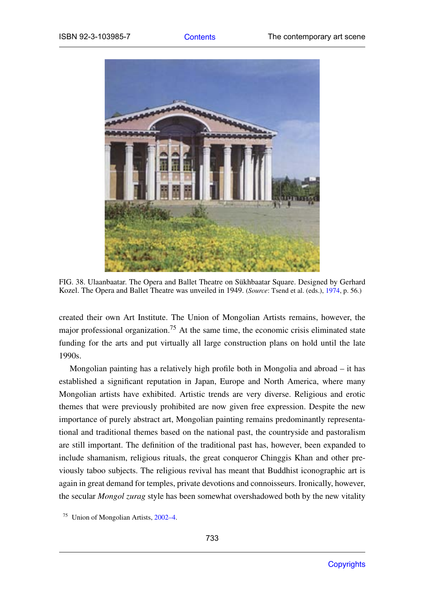![](_page_24_Picture_3.jpeg)

FIG. 38. Ulaanbaatar. The Opera and Ballet Theatre on Sükhbaatar Square. Designed by Gerhard Kozel. The Opera and Ballet Theatre was unveiled in 1949. (*Source*: Tsend et al. (eds.), 1974, p. 56.)

created their own Art Institute. The Union of Mongolian Artists remains, however, the major professional organization.<sup>75</sup> At the same time, the economic crisis eliminated state funding for the arts and put virtually all large construction plans on hold until the late 1990s.

Mongolian painting has a relatively high profile both in Mongolia and abroad – it has established a significant reputation in Japan, Europe and North America, where many Mongolian artists have exhibited. Artistic trends are very diverse. Religious and erotic themes that were previously prohibited are now given free expression. Despite the new importance of purely abstract art, Mongolian painting remains predominantly representational and traditional themes based on the national past, the countryside and pastoralism are still important. The definition of the traditional past has, however, been expanded to include shamanism, religious rituals, the great conqueror Chinggis Khan and other previously taboo subjects. The religious revival has meant that Buddhist iconographic art is again in great demand for temples, private devotions and connoisseurs. Ironically, however, the secular *Mongol zurag* style has been somewhat overshadowed both by the new vitality

<sup>75</sup> Union of Mongolian Artists, 2002–4.